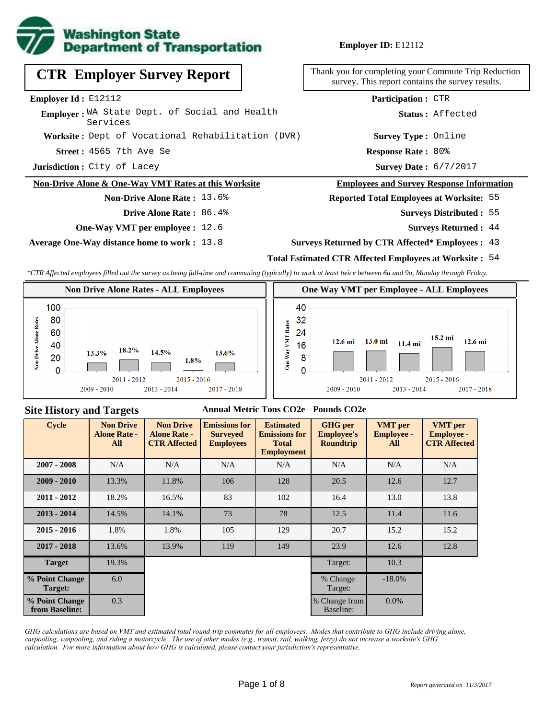

**Employer ID:** E12112

**Acception 3565 7th Ave Se 2022 12:33 12:44 Response Rate : Response Rate: 80% Worksite :** Dept of Vocational Rehabilitation (DVR) **Jurisdiction :** City of Lacey **Employer Id :** E12112 Employer: WA State Dept. of Social and Health Services **CTR Employer Survey Report Non-Drive Alone & One-Way VMT Rates at this Worksite Non-Drive Alone Rate :** 13.6% **Survey Type :** Online **Participation :** CTR

- **Drive Alone Rate :** 86.4%
- **One-Way VMT per employee :** 12.6

**Average One-Way distance home to work :** 13.8

Thank you for completing your Commute Trip Reduction survey. This report contains the survey results.

**Status :** Affected

Survey Date: 6/7/2017

#### **Employees and Survey Response Information**

**Reported Total Employees at Worksite:** 55

- 55 **Surveys Distributed :**
	- **Surveys Returned :** 44
- **Surveys Returned by CTR Affected\* Employees :** 43

### **Total Estimated CTR Affected Employees at Worksite :** 54

*\*CTR Affected employees filled out the survey as being full-time and commuting (typically) to work at least twice between 6a and 9a, Monday through Friday.*



#### **Site History and Targets**

#### **Annual Metric Tons CO2e Pounds CO2e**

| <b>Cycle</b>                     | <b>Non Drive</b><br><b>Alone Rate -</b><br>All | <b>Non Drive</b><br><b>Alone Rate -</b><br><b>CTR Affected</b> | <b>Emissions for</b><br><b>Surveyed</b><br><b>Employees</b> | <b>Estimated</b><br><b>Emissions for</b><br><b>Total</b><br><b>Employment</b> | <b>GHG</b> per<br><b>Employee's</b><br><b>Roundtrip</b> | <b>VMT</b> per<br><b>Employee -</b><br>All | <b>VMT</b> per<br><b>Employee -</b><br><b>CTR Affected</b> |
|----------------------------------|------------------------------------------------|----------------------------------------------------------------|-------------------------------------------------------------|-------------------------------------------------------------------------------|---------------------------------------------------------|--------------------------------------------|------------------------------------------------------------|
| $2007 - 2008$                    | N/A                                            | N/A                                                            | N/A                                                         |                                                                               | N/A                                                     | N/A                                        | N/A                                                        |
| $2009 - 2010$                    | 13.3%                                          | 11.8%                                                          | 106                                                         | 128                                                                           | 20.5                                                    | 12.6                                       | 12.7                                                       |
| $2011 - 2012$                    | 18.2%                                          | 16.5%                                                          | 83                                                          | 102                                                                           | 16.4                                                    | 13.0                                       | 13.8                                                       |
| $2013 - 2014$                    | 14.5%                                          | 14.1%                                                          | 73                                                          | 78                                                                            | 12.5                                                    | 11.4                                       | 11.6                                                       |
| $2015 - 2016$                    | 1.8%                                           | 1.8%                                                           | 105                                                         | 129                                                                           | 20.7                                                    | 15.2                                       | 15.2                                                       |
| $2017 - 2018$                    | 13.6%                                          | 13.9%                                                          | 119                                                         | 149                                                                           | 23.9                                                    | 12.6                                       | 12.8                                                       |
| <b>Target</b>                    | 19.3%                                          |                                                                |                                                             |                                                                               | Target:                                                 | 10.3                                       |                                                            |
| % Point Change<br>Target:        | 6.0                                            |                                                                |                                                             |                                                                               | % Change<br>Target:                                     | $-18.0\%$                                  |                                                            |
| % Point Change<br>from Baseline: | 0.3                                            |                                                                |                                                             |                                                                               | % Change from<br>Baseline:                              | $0.0\%$                                    |                                                            |

*GHG calculations are based on VMT and estimated total round-trip commutes for all employees. Modes that contribute to GHG include driving alone, carpooling, vanpooling, and riding a motorcycle. The use of other modes (e.g., transit, rail, walking, ferry) do not increase a worksite's GHG calculation. For more information about how GHG is calculated, please contact your jurisdiction's representative.*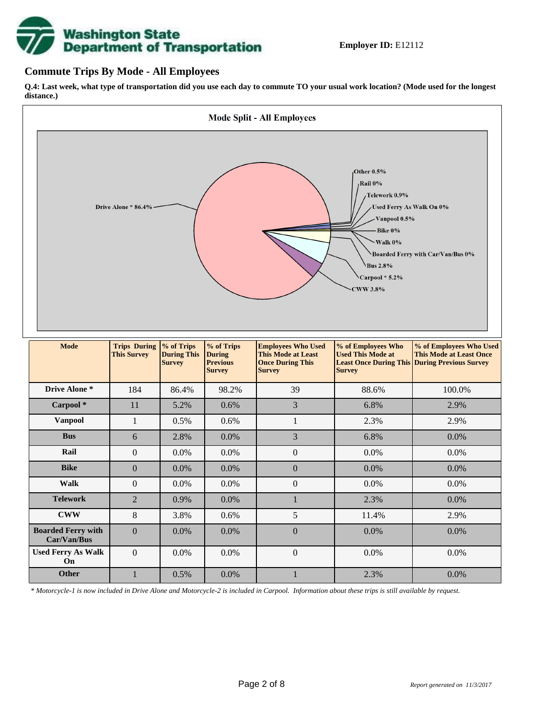# **Washington State<br>Department of Transportation**

## **Commute Trips By Mode - All Employees**

**Q.4: Last week, what type of transportation did you use each day to commute TO your usual work location? (Mode used for the longest distance.)**



*\* Motorcycle-1 is now included in Drive Alone and Motorcycle-2 is included in Carpool. Information about these trips is still available by request.*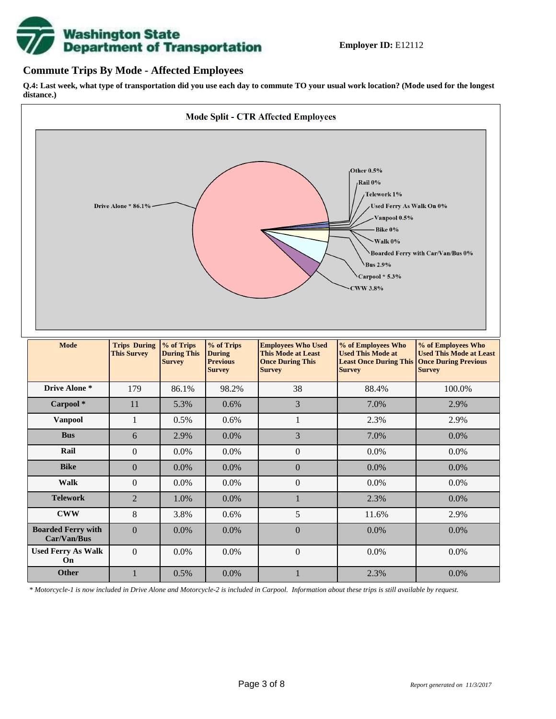

## **Commute Trips By Mode - Affected Employees**

**Q.4: Last week, what type of transportation did you use each day to commute TO your usual work location? (Mode used for the longest distance.)**



*\* Motorcycle-1 is now included in Drive Alone and Motorcycle-2 is included in Carpool. Information about these trips is still available by request.*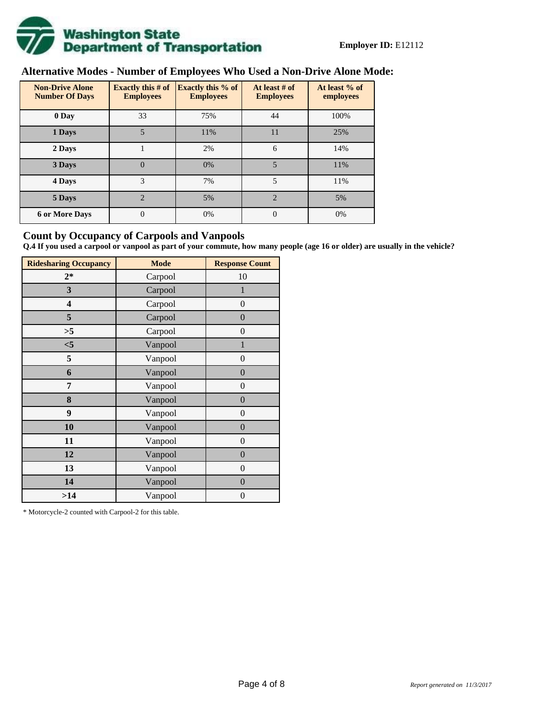

# **Alternative Modes - Number of Employees Who Used a Non-Drive Alone Mode:**

| <b>Non-Drive Alone</b><br><b>Number Of Days</b> | Exactly this $# of$<br><b>Employees</b> | <b>Exactly this % of</b><br><b>Employees</b> | At least # of<br><b>Employees</b> | At least % of<br>employees |  |  |
|-------------------------------------------------|-----------------------------------------|----------------------------------------------|-----------------------------------|----------------------------|--|--|
| 0 Day                                           | 33                                      | 75%                                          | 44                                | 100%                       |  |  |
| 1 Days                                          | 5                                       | 11%                                          | 11                                | 25%                        |  |  |
| 2 Days                                          |                                         | 2%                                           | 6                                 | 14%                        |  |  |
| 3 Days                                          | $\overline{0}$                          | 0%                                           | 5                                 | 11%                        |  |  |
| 4 Days                                          | 3                                       | 7%                                           | 5                                 | 11%                        |  |  |
| 5 Days                                          | $\mathfrak{D}$                          | 5%                                           | $\mathfrak{D}$                    | 5%                         |  |  |
| <b>6 or More Days</b>                           | 0                                       | 0%                                           | $\Omega$                          | 0%                         |  |  |

## **Count by Occupancy of Carpools and Vanpools**

**Q.4 If you used a carpool or vanpool as part of your commute, how many people (age 16 or older) are usually in the vehicle?**

| <b>Ridesharing Occupancy</b> | <b>Mode</b> | <b>Response Count</b> |
|------------------------------|-------------|-----------------------|
| $2*$                         | Carpool     | 10                    |
| 3                            | Carpool     | 1                     |
| 4                            | Carpool     | $\boldsymbol{0}$      |
| 5                            | Carpool     | $\overline{0}$        |
| >5                           | Carpool     | $\boldsymbol{0}$      |
| $<$ 5                        | Vanpool     | $\mathbf{1}$          |
| 5                            | Vanpool     | $\overline{0}$        |
| 6                            | Vanpool     | $\boldsymbol{0}$      |
| 7                            | Vanpool     | $\boldsymbol{0}$      |
| 8                            | Vanpool     | $\overline{0}$        |
| 9                            | Vanpool     | $\overline{0}$        |
| 10                           | Vanpool     | $\overline{0}$        |
| 11                           | Vanpool     | $\boldsymbol{0}$      |
| 12                           | Vanpool     | $\boldsymbol{0}$      |
| 13                           | Vanpool     | $\boldsymbol{0}$      |
| 14                           | Vanpool     | $\overline{0}$        |
| >14                          | Vanpool     | $\boldsymbol{0}$      |

\* Motorcycle-2 counted with Carpool-2 for this table.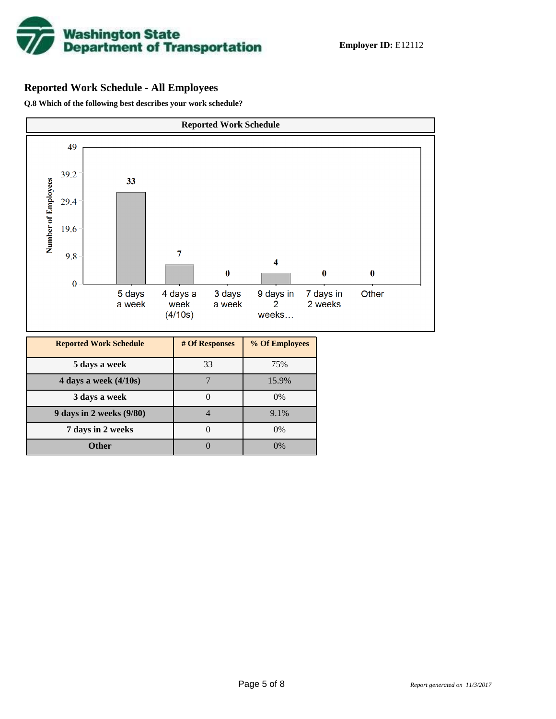

# **Reported Work Schedule - All Employees**

**Q.8 Which of the following best describes your work schedule?**

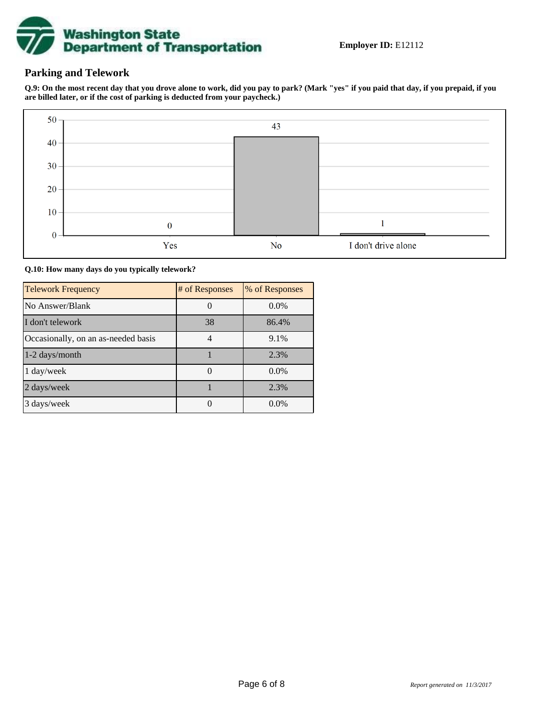

## **Parking and Telework**

**Q.9: On the most recent day that you drove alone to work, did you pay to park? (Mark "yes" if you paid that day, if you prepaid, if you are billed later, or if the cost of parking is deducted from your paycheck.)**



**Q.10: How many days do you typically telework?**

| <b>Telework Frequency</b>           | # of Responses | % of Responses |
|-------------------------------------|----------------|----------------|
| No Answer/Blank                     |                | $0.0\%$        |
| I don't telework                    | 38             | 86.4%          |
| Occasionally, on an as-needed basis |                | 9.1%           |
| 1-2 days/month                      |                | 2.3%           |
| 1 day/week                          |                | $0.0\%$        |
| 2 days/week                         |                | 2.3%           |
| 3 days/week                         |                | $0.0\%$        |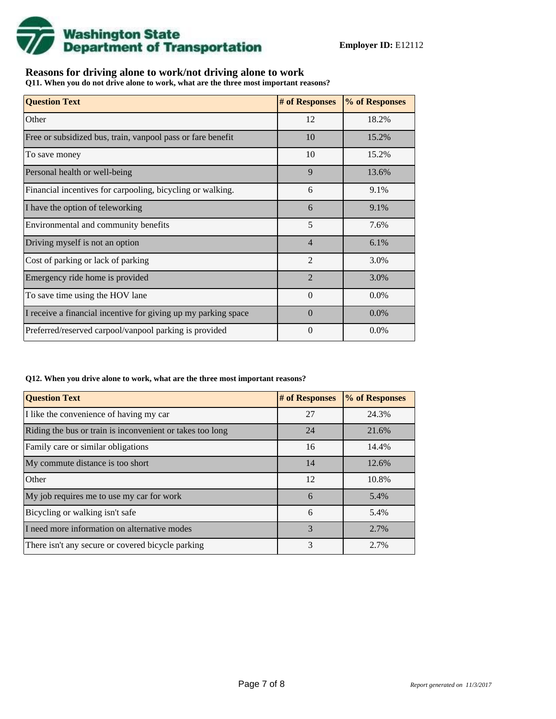

# **Reasons for driving alone to work/not driving alone to work**

**Q11. When you do not drive alone to work, what are the three most important reasons?**

| <b>Question Text</b>                                           | # of Responses | % of Responses |
|----------------------------------------------------------------|----------------|----------------|
| Other                                                          | 12             | 18.2%          |
| Free or subsidized bus, train, vanpool pass or fare benefit    | 10             | 15.2%          |
| To save money                                                  | 10             | 15.2%          |
| Personal health or well-being                                  | 9              | 13.6%          |
| Financial incentives for carpooling, bicycling or walking.     | 6              | 9.1%           |
| I have the option of teleworking                               | 6              | 9.1%           |
| Environmental and community benefits                           | 5              | 7.6%           |
| Driving myself is not an option                                | $\overline{4}$ | 6.1%           |
| Cost of parking or lack of parking                             | $\overline{2}$ | 3.0%           |
| Emergency ride home is provided                                | $\overline{2}$ | 3.0%           |
| To save time using the HOV lane                                | $\theta$       | $0.0\%$        |
| I receive a financial incentive for giving up my parking space | $\Omega$       | $0.0\%$        |
| Preferred/reserved carpool/vanpool parking is provided         | $\Omega$       | $0.0\%$        |

#### **Q12. When you drive alone to work, what are the three most important reasons?**

| <b>Question Text</b>                                      | # of Responses | % of Responses |  |  |
|-----------------------------------------------------------|----------------|----------------|--|--|
| I like the convenience of having my car                   | 27             | 24.3%          |  |  |
| Riding the bus or train is inconvenient or takes too long | 24             | 21.6%          |  |  |
| Family care or similar obligations                        | 16             | 14.4%          |  |  |
| My commute distance is too short                          | 14             | 12.6%          |  |  |
| Other                                                     | 12             | 10.8%          |  |  |
| My job requires me to use my car for work                 | 6              | 5.4%           |  |  |
| Bicycling or walking isn't safe                           | 6              | 5.4%           |  |  |
| I need more information on alternative modes              | 3              | 2.7%           |  |  |
| There isn't any secure or covered bicycle parking         | 3              | 2.7%           |  |  |